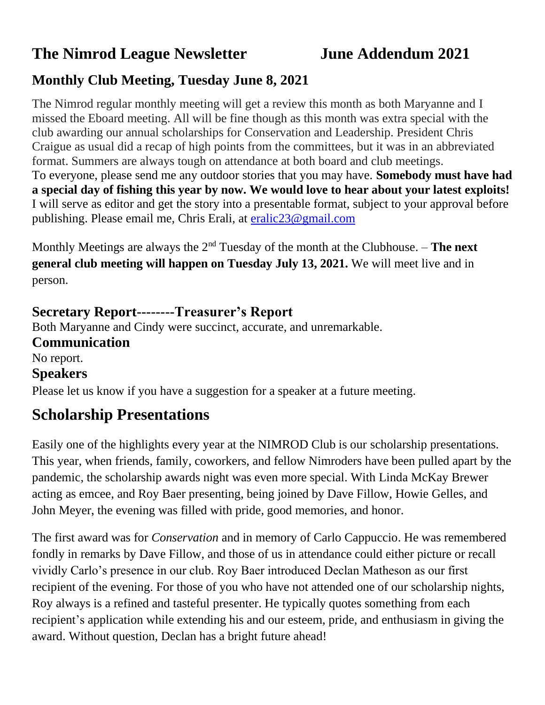# **The Nimrod League Newsletter June Addendum 2021**

## **Monthly Club Meeting, Tuesday June 8, 2021**

The Nimrod regular monthly meeting will get a review this month as both Maryanne and I missed the Eboard meeting. All will be fine though as this month was extra special with the club awarding our annual scholarships for Conservation and Leadership. President Chris Craigue as usual did a recap of high points from the committees, but it was in an abbreviated format. Summers are always tough on attendance at both board and club meetings. To everyone, please send me any outdoor stories that you may have. **Somebody must have had a special day of fishing this year by now. We would love to hear about your latest exploits!** I will serve as editor and get the story into a presentable format, subject to your approval before publishing. Please email me, Chris Erali, at [eralic23@gmail.com](mailto:eralic23@gmail.com)

Monthly Meetings are always the 2nd Tuesday of the month at the Clubhouse. – **The next general club meeting will happen on Tuesday July 13, 2021.** We will meet live and in person.

### **Secretary Report--------Treasurer's Report**

Both Maryanne and Cindy were succinct, accurate, and unremarkable. **Communication** No report. **Speakers** Please let us know if you have a suggestion for a speaker at a future meeting.

## **Scholarship Presentations**

Easily one of the highlights every year at the NIMROD Club is our scholarship presentations. This year, when friends, family, coworkers, and fellow Nimroders have been pulled apart by the pandemic, the scholarship awards night was even more special. With Linda McKay Brewer acting as emcee, and Roy Baer presenting, being joined by Dave Fillow, Howie Gelles, and John Meyer, the evening was filled with pride, good memories, and honor.

The first award was for *Conservation* and in memory of Carlo Cappuccio. He was remembered fondly in remarks by Dave Fillow, and those of us in attendance could either picture or recall vividly Carlo's presence in our club. Roy Baer introduced Declan Matheson as our first recipient of the evening. For those of you who have not attended one of our scholarship nights, Roy always is a refined and tasteful presenter. He typically quotes something from each recipient's application while extending his and our esteem, pride, and enthusiasm in giving the award. Without question, Declan has a bright future ahead!